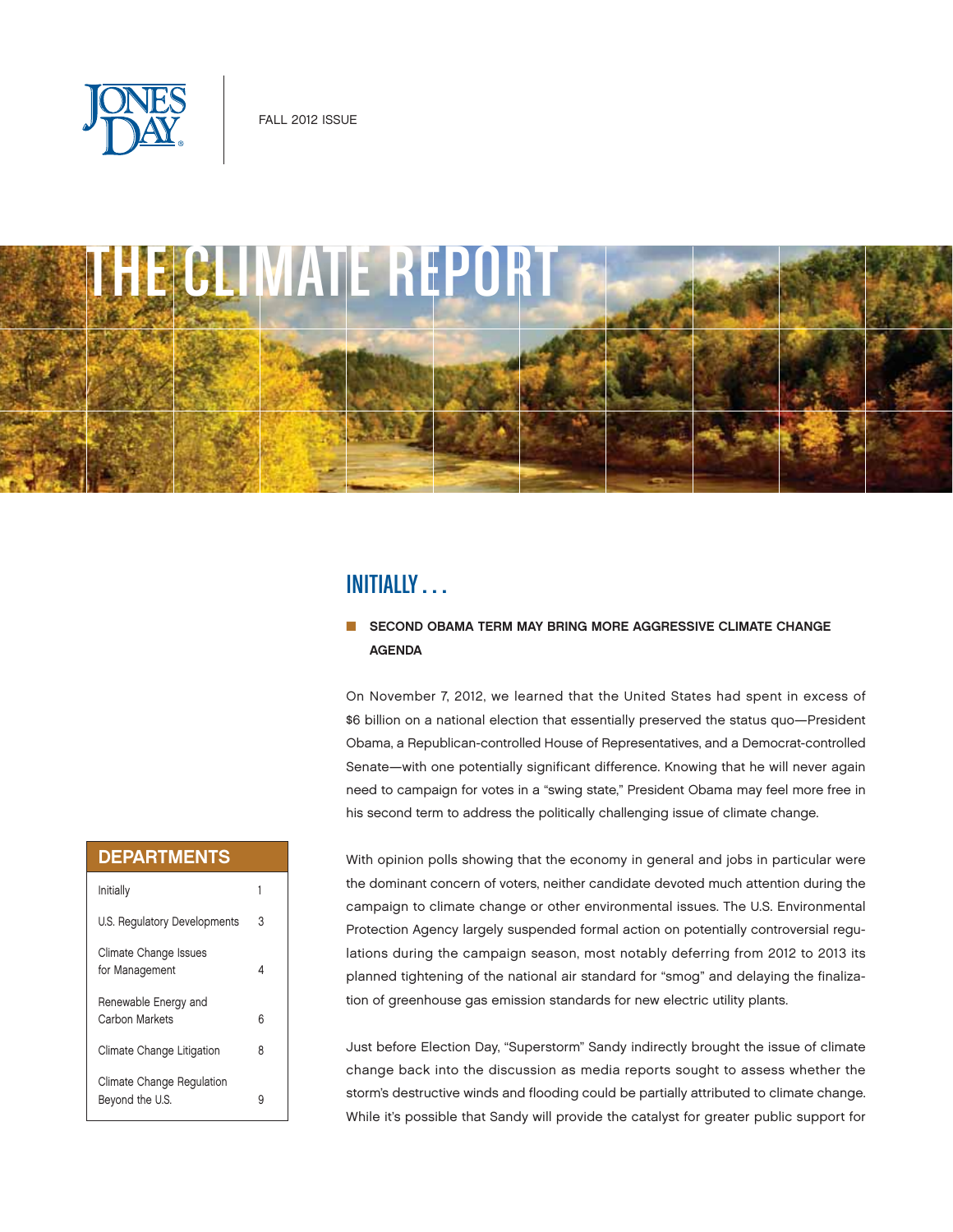



# INITIALLY . . .

## SECOND OBAMA TERM MAY BRING MORE AGGRESSIVE CLIMATE CHANGE AGENDA

On November 7, 2012, we learned that the United States had spent in excess of \$6 billion on a national election that essentially preserved the status quo—President Obama, a Republican-controlled House of Representatives, and a Democrat-controlled Senate—with one potentially significant difference. Knowing that he will never again need to campaign for votes in a "swing state," President Obama may feel more free in his second term to address the politically challenging issue of climate change.

## With opinion polls showing that the economy in general and jobs in particular were the dominant concern of voters, neither candidate devoted much attention during the campaign to climate change or other environmental issues. The U.S. Environmental Protection Agency largely suspended formal action on potentially controversial regulations during the campaign season, most notably deferring from 2012 to 2013 its planned tightening of the national air standard for "smog" and delaying the finalization of greenhouse gas emission standards for new electric utility plants.

Just before Election Day, "Superstorm" Sandy indirectly brought the issue of climate change back into the discussion as media reports sought to assess whether the storm's destructive winds and flooding could be partially attributed to climate change. While it's possible that Sandy will provide the catalyst for greater public support for

## DEPARTMENTS

| Initially                                    |   |
|----------------------------------------------|---|
| U.S. Regulatory Developments                 | 3 |
| Climate Change Issues<br>for Management      | 4 |
| Renewable Energy and<br>Carbon Markets       | հ |
| Climate Change Litigation                    | 8 |
| Climate Change Regulation<br>Beyond the U.S. |   |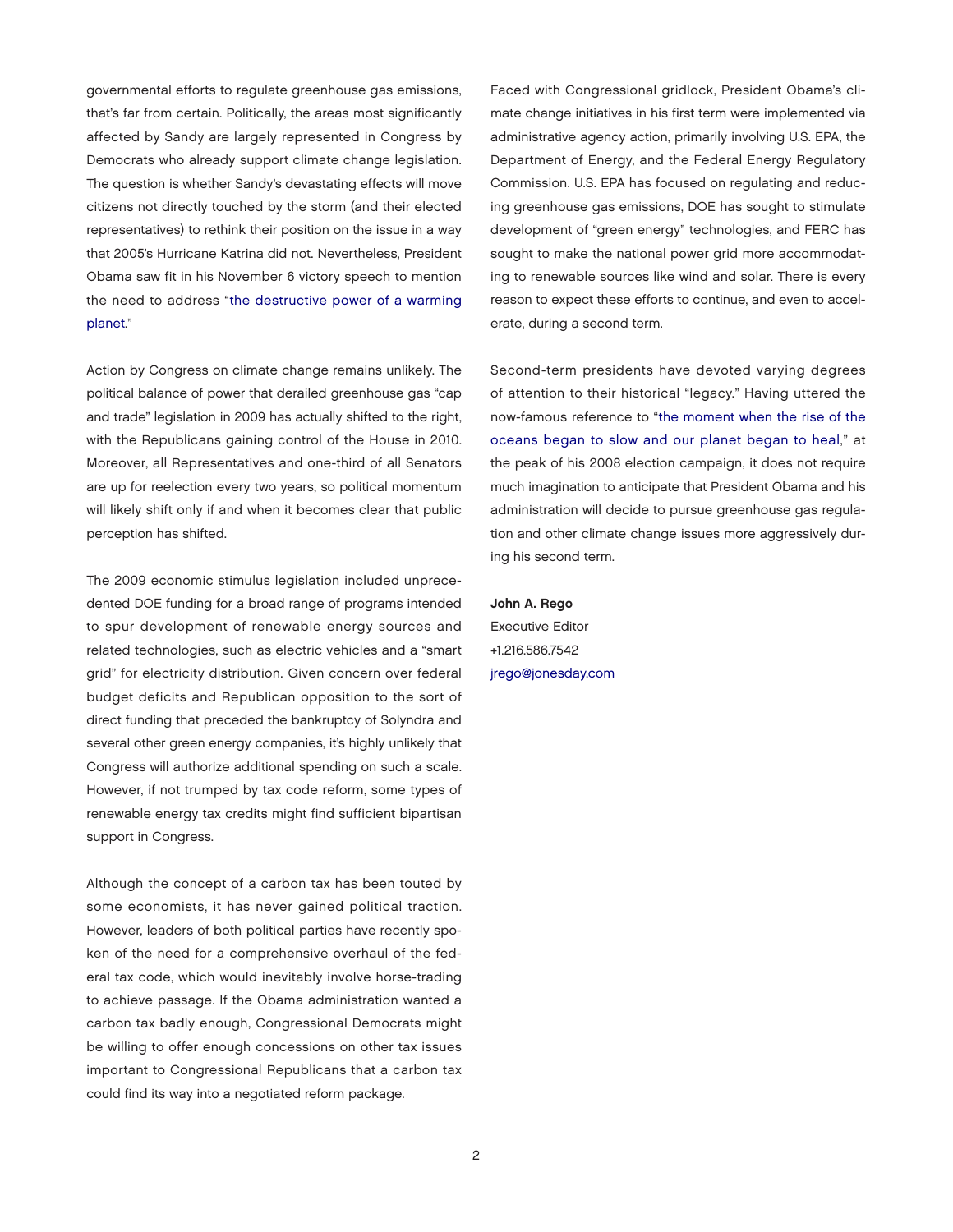governmental efforts to regulate greenhouse gas emissions, that's far from certain. Politically, the areas most significantly affected by Sandy are largely represented in Congress by Democrats who already support climate change legislation. The question is whether Sandy's devastating effects will move citizens not directly touched by the storm (and their elected representatives) to rethink their position on the issue in a way that 2005's Hurricane Katrina did not. Nevertheless, President Obama saw fit in his November 6 victory speech to mention [the need to address "the destructive power of a warming](http://blogs.wsj.com/washwire/2012/11/07/transcript-obamas-victory-speech/)  planet."

Action by Congress on climate change remains unlikely. The political balance of power that derailed greenhouse gas "cap and trade" legislation in 2009 has actually shifted to the right, with the Republicans gaining control of the House in 2010. Moreover, all Representatives and one-third of all Senators are up for reelection every two years, so political momentum will likely shift only if and when it becomes clear that public perception has shifted.

The 2009 economic stimulus legislation included unprecedented DOE funding for a broad range of programs intended to spur development of renewable energy sources and related technologies, such as electric vehicles and a "smart grid" for electricity distribution. Given concern over federal budget deficits and Republican opposition to the sort of direct funding that preceded the bankruptcy of Solyndra and several other green energy companies, it's highly unlikely that Congress will authorize additional spending on such a scale. However, if not trumped by tax code reform, some types of renewable energy tax credits might find sufficient bipartisan support in Congress.

Although the concept of a carbon tax has been touted by some economists, it has never gained political traction. However, leaders of both political parties have recently spoken of the need for a comprehensive overhaul of the federal tax code, which would inevitably involve horse-trading to achieve passage. If the Obama administration wanted a carbon tax badly enough, Congressional Democrats might be willing to offer enough concessions on other tax issues important to Congressional Republicans that a carbon tax could find its way into a negotiated reform package.

Faced with Congressional gridlock, President Obama's climate change initiatives in his first term were implemented via administrative agency action, primarily involving U.S. EPA, the Department of Energy, and the Federal Energy Regulatory Commission. U.S. EPA has focused on regulating and reducing greenhouse gas emissions, DOE has sought to stimulate development of "green energy" technologies, and FERC has sought to make the national power grid more accommodating to renewable sources like wind and solar. There is every reason to expect these efforts to continue, and even to accelerate, during a second term.

Second-term presidents have devoted varying degrees of attention to their historical "legacy." Having uttered the [now-famous reference to "the moment when the rise of the](http://www.nytimes.com/2008/06/03/us/politics/03text-obama.html?pagewanted=4&_r=0)  oceans began to slow and our planet began to heal," at the peak of his 2008 election campaign, it does not require much imagination to anticipate that President Obama and his administration will decide to pursue greenhouse gas regulation and other climate change issues more aggressively during his second term.

John A. Rego Executive Editor +1.216.586.7542 [jrego@jonesday.com](mailto:jrego@jonesday.com)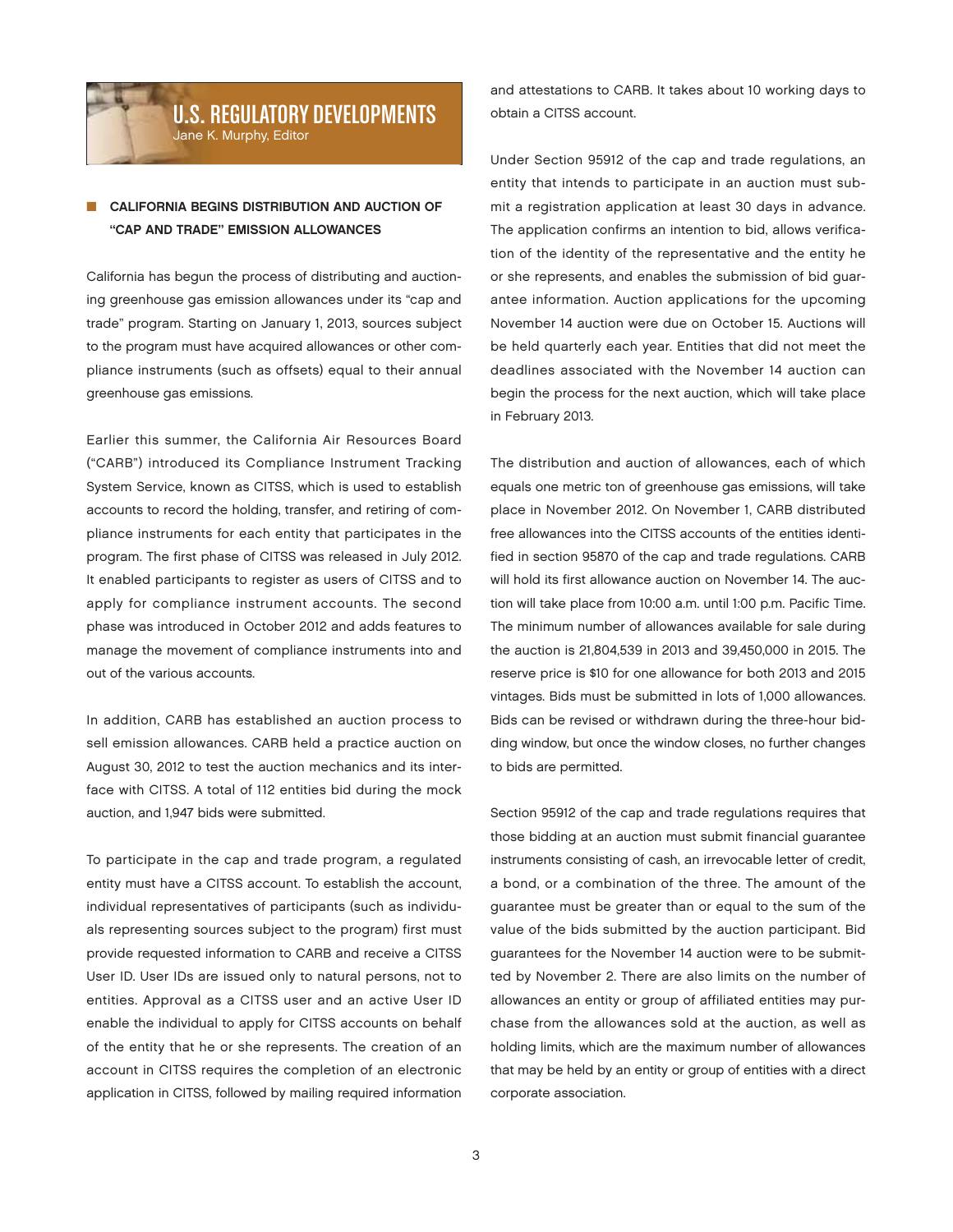## U.S. REGULATORY DEVELOPMENTS Jane K. Murphy, Editor

## CALIFORNIA BEGINS DISTRIBUTION AND AUCTION OF "CAP AND TRADE" EMISSION ALLOWANCES

California has begun the process of distributing and auctioning greenhouse gas emission allowances under its "cap and trade" program. Starting on January 1, 2013, sources subject to the program must have acquired allowances or other compliance instruments (such as offsets) equal to their annual greenhouse gas emissions.

Earlier this summer, the California Air Resources Board ("CARB") introduced its Compliance Instrument Tracking System Service, known as CITSS, which is used to establish accounts to record the holding, transfer, and retiring of compliance instruments for each entity that participates in the program. The first phase of CITSS was released in July 2012. It enabled participants to register as users of CITSS and to apply for compliance instrument accounts. The second phase was introduced in October 2012 and adds features to manage the movement of compliance instruments into and out of the various accounts.

In addition, CARB has established an auction process to sell emission allowances. CARB held a practice auction on August 30, 2012 to test the auction mechanics and its interface with CITSS. A total of 112 entities bid during the mock auction, and 1,947 bids were submitted.

To participate in the cap and trade program, a regulated entity must have a CITSS account. To establish the account, individual representatives of participants (such as individuals representing sources subject to the program) first must provide requested information to CARB and receive a CITSS User ID. User IDs are issued only to natural persons, not to entities. Approval as a CITSS user and an active User ID enable the individual to apply for CITSS accounts on behalf of the entity that he or she represents. The creation of an account in CITSS requires the completion of an electronic application in CITSS, followed by mailing required information

and attestations to CARB. It takes about 10 working days to obtain a CITSS account.

Under Section 95912 of the cap and trade regulations, an entity that intends to participate in an auction must submit a registration application at least 30 days in advance. The application confirms an intention to bid, allows verification of the identity of the representative and the entity he or she represents, and enables the submission of bid guarantee information. Auction applications for the upcoming November 14 auction were due on October 15. Auctions will be held quarterly each year. Entities that did not meet the deadlines associated with the November 14 auction can begin the process for the next auction, which will take place in February 2013.

The distribution and auction of allowances, each of which equals one metric ton of greenhouse gas emissions, will take place in November 2012. On November 1, CARB distributed free allowances into the CITSS accounts of the entities identified in section 95870 of the cap and trade regulations. CARB will hold its first allowance auction on November 14. The auction will take place from 10:00 a.m. until 1:00 p.m. Pacific Time. The minimum number of allowances available for sale during the auction is 21,804,539 in 2013 and 39,450,000 in 2015. The reserve price is \$10 for one allowance for both 2013 and 2015 vintages. Bids must be submitted in lots of 1,000 allowances. Bids can be revised or withdrawn during the three-hour bidding window, but once the window closes, no further changes to bids are permitted.

Section 95912 of the cap and trade regulations requires that those bidding at an auction must submit financial guarantee instruments consisting of cash, an irrevocable letter of credit, a bond, or a combination of the three. The amount of the guarantee must be greater than or equal to the sum of the value of the bids submitted by the auction participant. Bid guarantees for the November 14 auction were to be submitted by November 2. There are also limits on the number of allowances an entity or group of affiliated entities may purchase from the allowances sold at the auction, as well as holding limits, which are the maximum number of allowances that may be held by an entity or group of entities with a direct corporate association.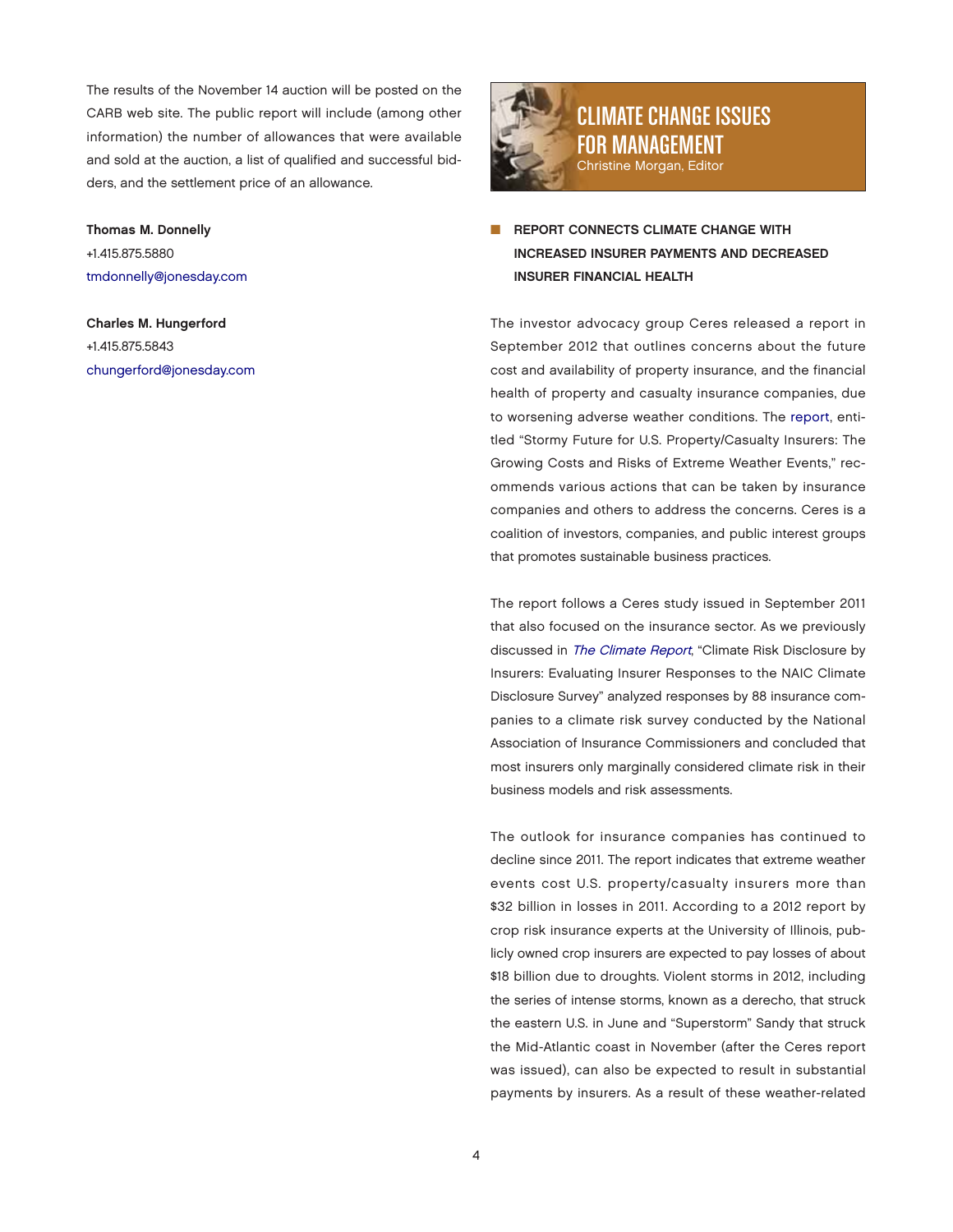The results of the November 14 auction will be posted on the CARB web site. The public report will include (among other information) the number of allowances that were available and sold at the auction, a list of qualified and successful bidders, and the settlement price of an allowance.

## Thomas M. Donnelly +1.415.875.5880 [tmdonnelly@jonesday.com](mailto:tmdonnelly@jonesday.com)

Charles M. Hungerford +1.415.875.5843 [chungerford@jonesday.com](mailto:chungerford@jonesday.com)



# CLIMATE CHANGE ISSUES FOR MANAGEMENT Christine Morgan, Editor

REPORT CONNECTS CLIMATE CHANGE WITH INCREASED INSURER PAYMENTS AND DECREASED INSURER FINANCIAL HEALTH

The investor advocacy group Ceres released a report in September 2012 that outlines concerns about the future cost and availability of property insurance, and the financial health of property and casualty insurance companies, due to worsening adverse weather conditions. The [report,](http://www.ceres.org/resources/reports/stormy-futures/view) entitled "Stormy Future for U.S. Property/Casualty Insurers: The Growing Costs and Risks of Extreme Weather Events," recommends various actions that can be taken by insurance companies and others to address the concerns. Ceres is a coalition of investors, companies, and public interest groups that promotes sustainable business practices.

The report follows a Ceres study issued in September 2011 that also focused on the insurance sector. As we previously discussed in [The Climate Report](http://thewritestuff.jonesday.com/rv/ff0005f5d44dd67f3f99c4ce9241ae4f185622a6/p=13), "Climate Risk Disclosure by Insurers: Evaluating Insurer Responses to the NAIC Climate Disclosure Survey" analyzed responses by 88 insurance companies to a climate risk survey conducted by the National Association of Insurance Commissioners and concluded that most insurers only marginally considered climate risk in their business models and risk assessments.

The outlook for insurance companies has continued to decline since 2011. The report indicates that extreme weather events cost U.S. property/casualty insurers more than \$32 billion in losses in 2011. According to a 2012 report by crop risk insurance experts at the University of Illinois, publicly owned crop insurers are expected to pay losses of about \$18 billion due to droughts. Violent storms in 2012, including the series of intense storms, known as a derecho, that struck the eastern U.S. in June and "Superstorm" Sandy that struck the Mid-Atlantic coast in November (after the Ceres report was issued), can also be expected to result in substantial payments by insurers. As a result of these weather-related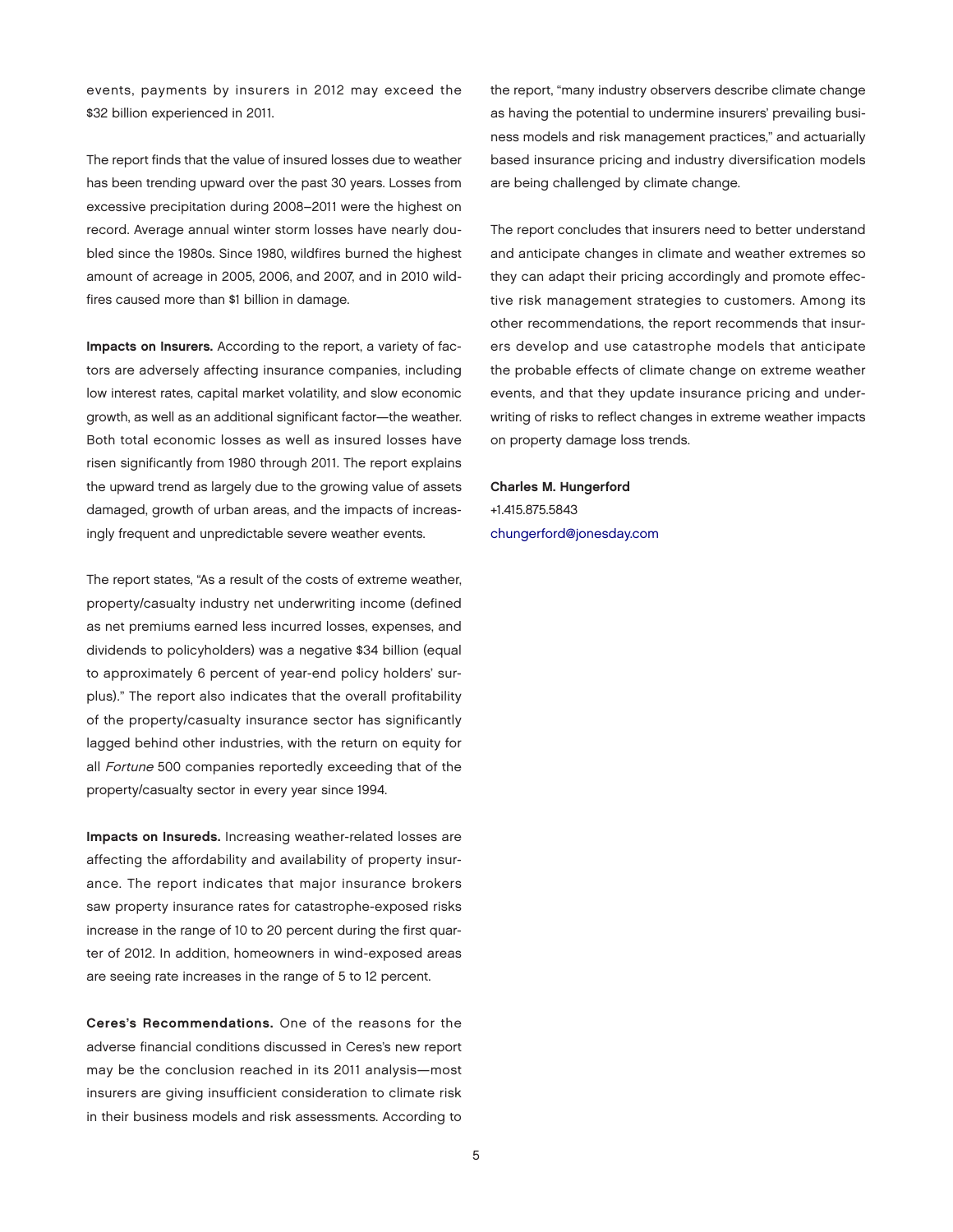events, payments by insurers in 2012 may exceed the \$32 billion experienced in 2011.

The report finds that the value of insured losses due to weather has been trending upward over the past 30 years. Losses from excessive precipitation during 2008–2011 were the highest on record. Average annual winter storm losses have nearly doubled since the 1980s. Since 1980, wildfires burned the highest amount of acreage in 2005, 2006, and 2007, and in 2010 wildfires caused more than \$1 billion in damage.

Impacts on Insurers. According to the report, a variety of factors are adversely affecting insurance companies, including low interest rates, capital market volatility, and slow economic growth, as well as an additional significant factor—the weather. Both total economic losses as well as insured losses have risen significantly from 1980 through 2011. The report explains the upward trend as largely due to the growing value of assets damaged, growth of urban areas, and the impacts of increasingly frequent and unpredictable severe weather events.

The report states, "As a result of the costs of extreme weather, property/casualty industry net underwriting income (defined as net premiums earned less incurred losses, expenses, and dividends to policyholders) was a negative \$34 billion (equal to approximately 6 percent of year-end policy holders' surplus)." The report also indicates that the overall profitability of the property/casualty insurance sector has significantly lagged behind other industries, with the return on equity for all Fortune 500 companies reportedly exceeding that of the property/casualty sector in every year since 1994.

Impacts on Insureds. Increasing weather-related losses are affecting the affordability and availability of property insurance. The report indicates that major insurance brokers saw property insurance rates for catastrophe-exposed risks increase in the range of 10 to 20 percent during the first quarter of 2012. In addition, homeowners in wind-exposed areas are seeing rate increases in the range of 5 to 12 percent.

Ceres's Recommendations. One of the reasons for the adverse financial conditions discussed in Ceres's new report may be the conclusion reached in its 2011 analysis—most insurers are giving insufficient consideration to climate risk in their business models and risk assessments. According to

the report, "many industry observers describe climate change as having the potential to undermine insurers' prevailing business models and risk management practices," and actuarially based insurance pricing and industry diversification models are being challenged by climate change.

The report concludes that insurers need to better understand and anticipate changes in climate and weather extremes so they can adapt their pricing accordingly and promote effective risk management strategies to customers. Among its other recommendations, the report recommends that insurers develop and use catastrophe models that anticipate the probable effects of climate change on extreme weather events, and that they update insurance pricing and underwriting of risks to reflect changes in extreme weather impacts on property damage loss trends.

Charles M. Hungerford +1.415.875.5843 [chungerford@jonesday.com](mailto:chungerford@jonesday.com)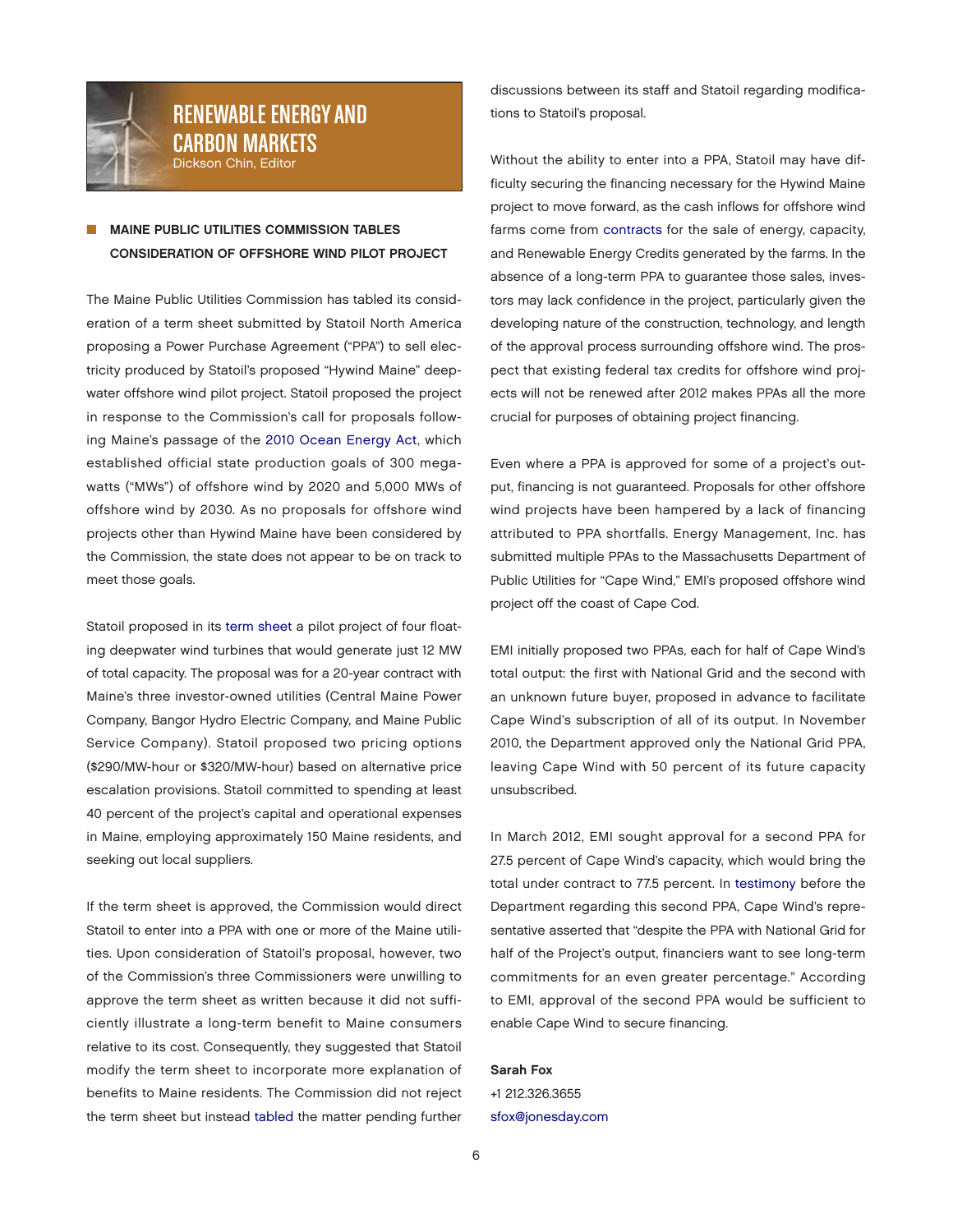

## RENEWABLE ENERGY AND CARBON MARKETS Dickson Chin, Editor

## **MAINE PUBLIC UTILITIES COMMISSION TABLES** CONSIDERATION OF OFFSHORE WIND PILOT PROJECT

The Maine Public Utilities Commission has tabled its consideration of a term sheet submitted by Statoil North America proposing a Power Purchase Agreement ("PPA") to sell electricity produced by Statoil's proposed "Hywind Maine" deepwater offshore wind pilot project. Statoil proposed the project in response to the Commission's call for proposals following Maine's passage of the [2010 Ocean Energy Act,](http://www.mainelegislature.org/legis/bills/bills_124th/chappdfs/PUBLIC615.pdf) which established official state production goals of 300 megawatts ("MWs") of offshore wind by 2020 and 5,000 MWs of offshore wind by 2030. As no proposals for offshore wind projects other than Hywind Maine have been considered by the Commission, the state does not appear to be on track to meet those goals.

Statoil proposed in its [term sheet a](http://www.maine.gov/mpuc/electricity/rfps/standard_offer/deepwater2010/20120829%20Statoil%20Redacted%20Term%20Sheet.pdf) pilot project of four floating deepwater wind turbines that would generate just 12 MW of total capacity. The proposal was for a 20-year contract with Maine's three investor-owned utilities (Central Maine Power Company, Bangor Hydro Electric Company, and Maine Public Service Company). Statoil proposed two pricing options (\$290/MW-hour or \$320/MW-hour) based on alternative price escalation provisions. Statoil committed to spending at least 40 percent of the project's capital and operational expenses in Maine, employing approximately 150 Maine residents, and seeking out local suppliers.

If the term sheet is approved, the Commission would direct Statoil to enter into a PPA with one or more of the Maine utilities. Upon consideration of Statoil's proposal, however, two of the Commission's three Commissioners were unwilling to approve the term sheet as written because it did not sufficiently illustrate a long-term benefit to Maine consumers relative to its cost. Consequently, they suggested that Statoil modify the term sheet to incorporate more explanation of benefits to Maine residents. The Commission did not reject the term sheet but instead [tabled](https://mpuc-cms.maine.gov/CQM.Public.WebUI/MatterManagement/MatterFilingItem.aspx?FilingSeq=73091&CaseNumber=2010-00235) the matter pending further

discussions between its staff and Statoil regarding modifications to Statoil's proposal.

Without the ability to enter into a PPA, Statoil may have difficulty securing the financing necessary for the Hywind Maine project to move forward, as the cash inflows for offshore wind farms come from [contracts](http://www.renewableenergyworld.com/rea/news/article/2011/07/financing-offshore-wind-farms-in-the-u-s) for the sale of energy, capacity, and Renewable Energy Credits generated by the farms. In the absence of a long-term PPA to guarantee those sales, investors may lack confidence in the project, particularly given the developing nature of the construction, technology, and length of the approval process surrounding offshore wind. The prospect that existing federal tax credits for offshore wind projects will not be renewed after 2012 makes PPAs all the more crucial for purposes of obtaining project financing.

Even where a PPA is approved for some of a project's output, financing is not guaranteed. Proposals for other offshore wind projects have been hampered by a lack of financing attributed to PPA shortfalls. Energy Management, Inc. has submitted multiple PPAs to the Massachusetts Department of Public Utilities for "Cape Wind," EMI's proposed offshore wind project off the coast of Cape Cod.

EMI initially proposed two PPAs, each for half of Cape Wind's total output: the first with National Grid and the second with an unknown future buyer, proposed in advance to facilitate Cape Wind's subscription of all of its output. In November 2010, the Department approved only the National Grid PPA, leaving Cape Wind with 50 percent of its future capacity unsubscribed.

In March 2012, EMI sought approval for a second PPA for 27.5 percent of Cape Wind's capacity, which would bring the total under contract to 77.5 percent. In [testimony](http://www.env.state.ma.us/dpu/docs/electric/12-30/33012nstpts4.pdf) before the Department regarding this second PPA, Cape Wind's representative asserted that "despite the PPA with National Grid for half of the Project's output, financiers want to see long-term commitments for an even greater percentage." According to EMI, approval of the second PPA would be sufficient to enable Cape Wind to secure financing.

#### Sarah Fox

+1 212.326.3655 [sfox@jonesday.com](mailto:sfox@jonesday.com)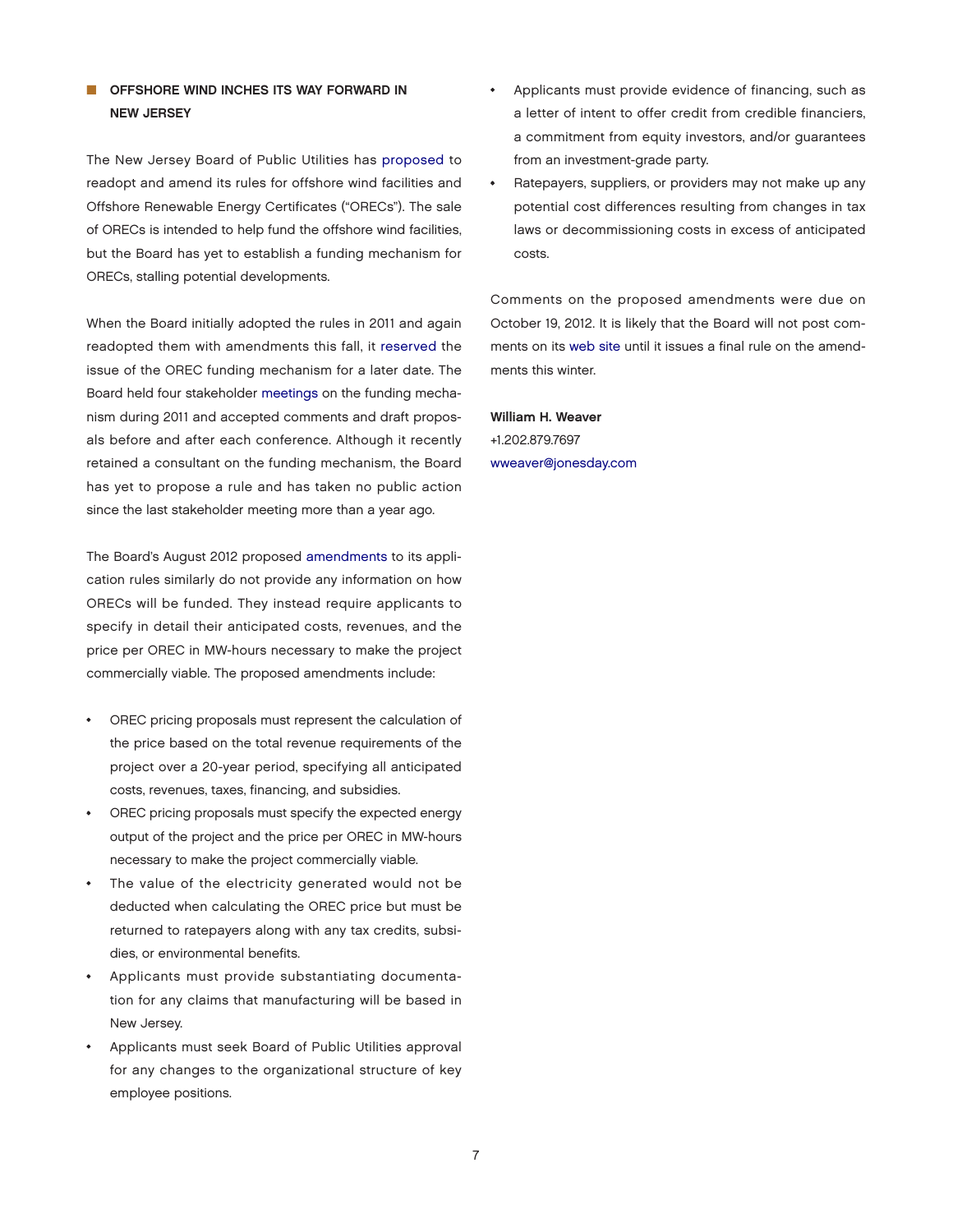## OFFSHORE WIND INCHES ITS WAY FORWARD IN NEW JERSEY

The New Jersey Board of Public Utilities has [proposed](http://www.state.nj.us/bpu/pdf/rules/final201208.pdf) to readopt and amend its rules for offshore wind facilities and Offshore Renewable Energy Certificates ("ORECs"). The sale of ORECs is intended to help fund the offshore wind facilities, but the Board has yet to establish a funding mechanism for ORECs, stalling potential developments.

When the Board initially adopted the rules in 2011 and again readopted them with amendments this fall, it [reserved](http://www.state.nj.us/bpu/pdf/rules/final201208.pdf) the issue of the OREC funding mechanism for a later date. The Board held four stakeholder [meetings](http://www.njcleanenergy.com/files/file/Renewable_Programs/Wind/OSW Notice of Stakeholder Meetings OREC FundingMechanism1.pdf) on the funding mechanism during 2011 and accepted comments and draft proposals before and after each conference. Although it recently retained a consultant on the funding mechanism, the Board has yet to propose a rule and has taken no public action since the last stakeholder meeting more than a year ago.

The Board's August 2012 propose[d amendments](http://www.state.nj.us/bpu/pdf/rules/final201208.pdf) to its application rules similarly do not provide any information on how ORECs will be funded. They instead require applicants to specify in detail their anticipated costs, revenues, and the price per OREC in MW-hours necessary to make the project commercially viable. The proposed amendments include:

- OREC pricing proposals must represent the calculation of the price based on the total revenue requirements of the project over a 20-year period, specifying all anticipated costs, revenues, taxes, financing, and subsidies.
- OREC pricing proposals must specify the expected energy output of the project and the price per OREC in MW-hours necessary to make the project commercially viable.
- The value of the electricity generated would not be deducted when calculating the OREC price but must be returned to ratepayers along with any tax credits, subsidies, or environmental benefits.
- Applicants must provide substantiating documentation for any claims that manufacturing will be based in New Jersey.
- Applicants must seek Board of Public Utilities approval for any changes to the organizational structure of key employee positions.
- Applicants must provide evidence of financing, such as a letter of intent to offer credit from credible financiers, a commitment from equity investors, and/or guarantees from an investment-grade party.
- Ratepayers, suppliers, or providers may not make up any potential cost differences resulting from changes in tax laws or decommissioning costs in excess of anticipated costs.

Comments on the proposed amendments were due on October 19, 2012. It is likely that the Board will not post comments on its [web site](http://www.njcleanenergy.com/renewable-energy/technologies/wind/shore-wind) until it issues a final rule on the amendments this winter.

William H. Weaver +1.202.879.7697 [wweaver@jonesday.com](mailto:wweaver@jonesday.com)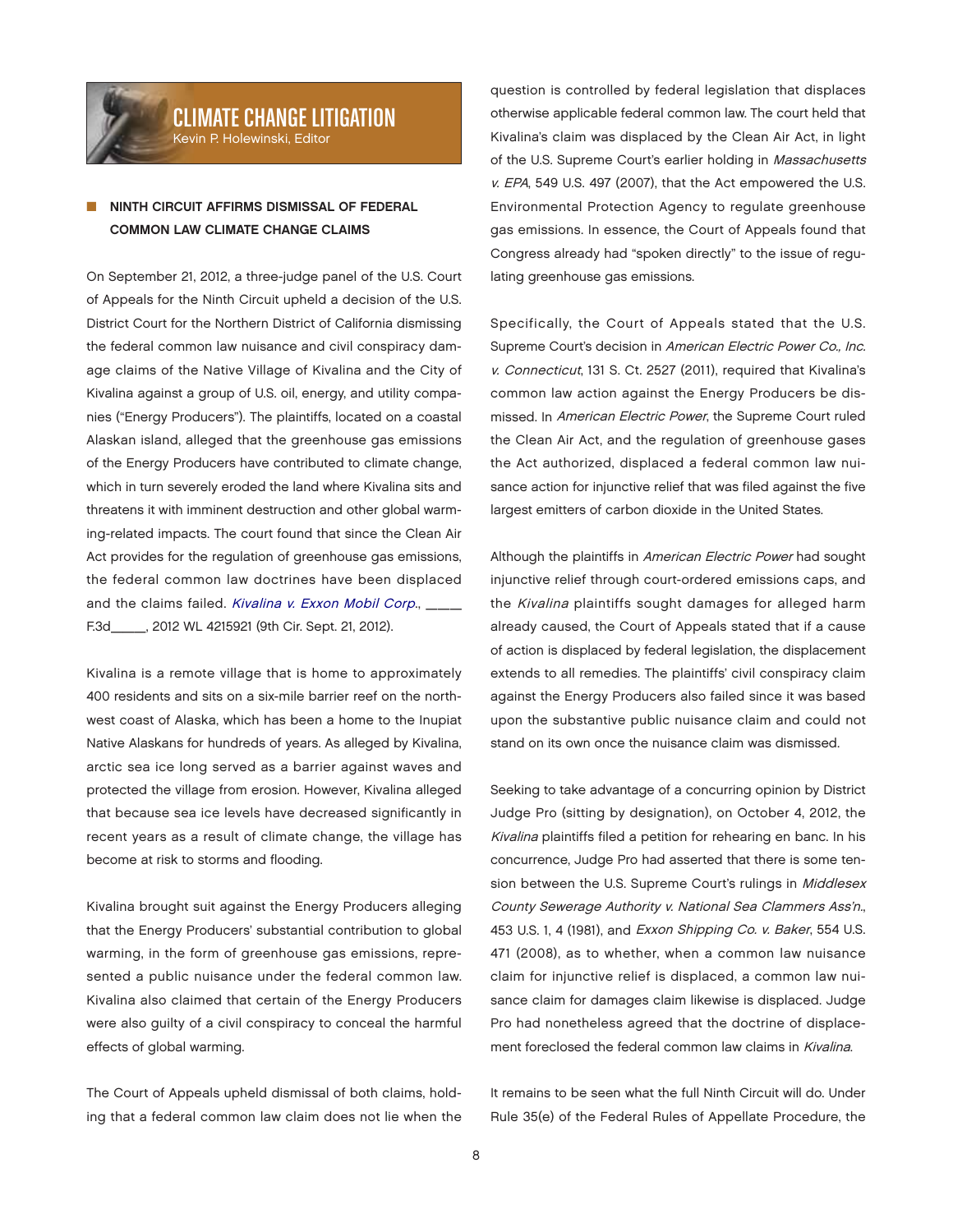

# CLIMATE CHANGE LITIGATION

Kevin P. Holewinski, Editor

## NINTH CIRCUIT AFFIRMS DISMISSAL OF FEDERAL COMMON LAW CLIMATE CHANGE CLAIMS

On September 21, 2012, a three-judge panel of the U.S. Court of Appeals for the Ninth Circuit upheld a decision of the U.S. District Court for the Northern District of California dismissing the federal common law nuisance and civil conspiracy damage claims of the Native Village of Kivalina and the City of Kivalina against a group of U.S. oil, energy, and utility companies ("Energy Producers"). The plaintiffs, located on a coastal Alaskan island, alleged that the greenhouse gas emissions of the Energy Producers have contributed to climate change, which in turn severely eroded the land where Kivalina sits and threatens it with imminent destruction and other global warming-related impacts. The court found that since the Clean Air Act provides for the regulation of greenhouse gas emissions, the federal common law doctrines have been displaced and the claims failed. [Kivalina v. Exxon Mobil Corp](http://www.ca9.uscourts.gov/datastore/opinions/2012/09/25/09-17490.pdf)., F.3d\_\_\_, 2012 WL 4215921 (9th Cir. Sept. 21, 2012).

Kivalina is a remote village that is home to approximately 400 residents and sits on a six-mile barrier reef on the northwest coast of Alaska, which has been a home to the Inupiat Native Alaskans for hundreds of years. As alleged by Kivalina, arctic sea ice long served as a barrier against waves and protected the village from erosion. However, Kivalina alleged that because sea ice levels have decreased significantly in recent years as a result of climate change, the village has become at risk to storms and flooding.

Kivalina brought suit against the Energy Producers alleging that the Energy Producers' substantial contribution to global warming, in the form of greenhouse gas emissions, represented a public nuisance under the federal common law. Kivalina also claimed that certain of the Energy Producers were also guilty of a civil conspiracy to conceal the harmful effects of global warming.

The Court of Appeals upheld dismissal of both claims, holding that a federal common law claim does not lie when the question is controlled by federal legislation that displaces otherwise applicable federal common law. The court held that Kivalina's claim was displaced by the Clean Air Act, in light of the U.S. Supreme Court's earlier holding in Massachusetts v. EPA, 549 U.S. 497 (2007), that the Act empowered the U.S. Environmental Protection Agency to regulate greenhouse gas emissions. In essence, the Court of Appeals found that Congress already had "spoken directly" to the issue of regulating greenhouse gas emissions.

Specifically, the Court of Appeals stated that the U.S. Supreme Court's decision in American Electric Power Co., Inc. v. Connecticut, 131 S. Ct. 2527 (2011), required that Kivalina's common law action against the Energy Producers be dismissed. In American Electric Power, the Supreme Court ruled the Clean Air Act, and the regulation of greenhouse gases the Act authorized, displaced a federal common law nuisance action for injunctive relief that was filed against the five largest emitters of carbon dioxide in the United States.

Although the plaintiffs in American Electric Power had sought injunctive relief through court-ordered emissions caps, and the Kivalina plaintiffs sought damages for alleged harm already caused, the Court of Appeals stated that if a cause of action is displaced by federal legislation, the displacement extends to all remedies. The plaintiffs' civil conspiracy claim against the Energy Producers also failed since it was based upon the substantive public nuisance claim and could not stand on its own once the nuisance claim was dismissed.

Seeking to take advantage of a concurring opinion by District Judge Pro (sitting by designation), on October 4, 2012, the Kivalina plaintiffs filed a petition for rehearing en banc. In his concurrence, Judge Pro had asserted that there is some tension between the U.S. Supreme Court's rulings in Middlesex County Sewerage Authority v. National Sea Clammers Ass'n., 453 U.S. 1, 4 (1981), and Exxon Shipping Co. v. Baker, 554 U.S. 471 (2008), as to whether, when a common law nuisance claim for injunctive relief is displaced, a common law nuisance claim for damages claim likewise is displaced. Judge Pro had nonetheless agreed that the doctrine of displacement foreclosed the federal common law claims in Kivalina.

It remains to be seen what the full Ninth Circuit will do. Under Rule 35(e) of the Federal Rules of Appellate Procedure, the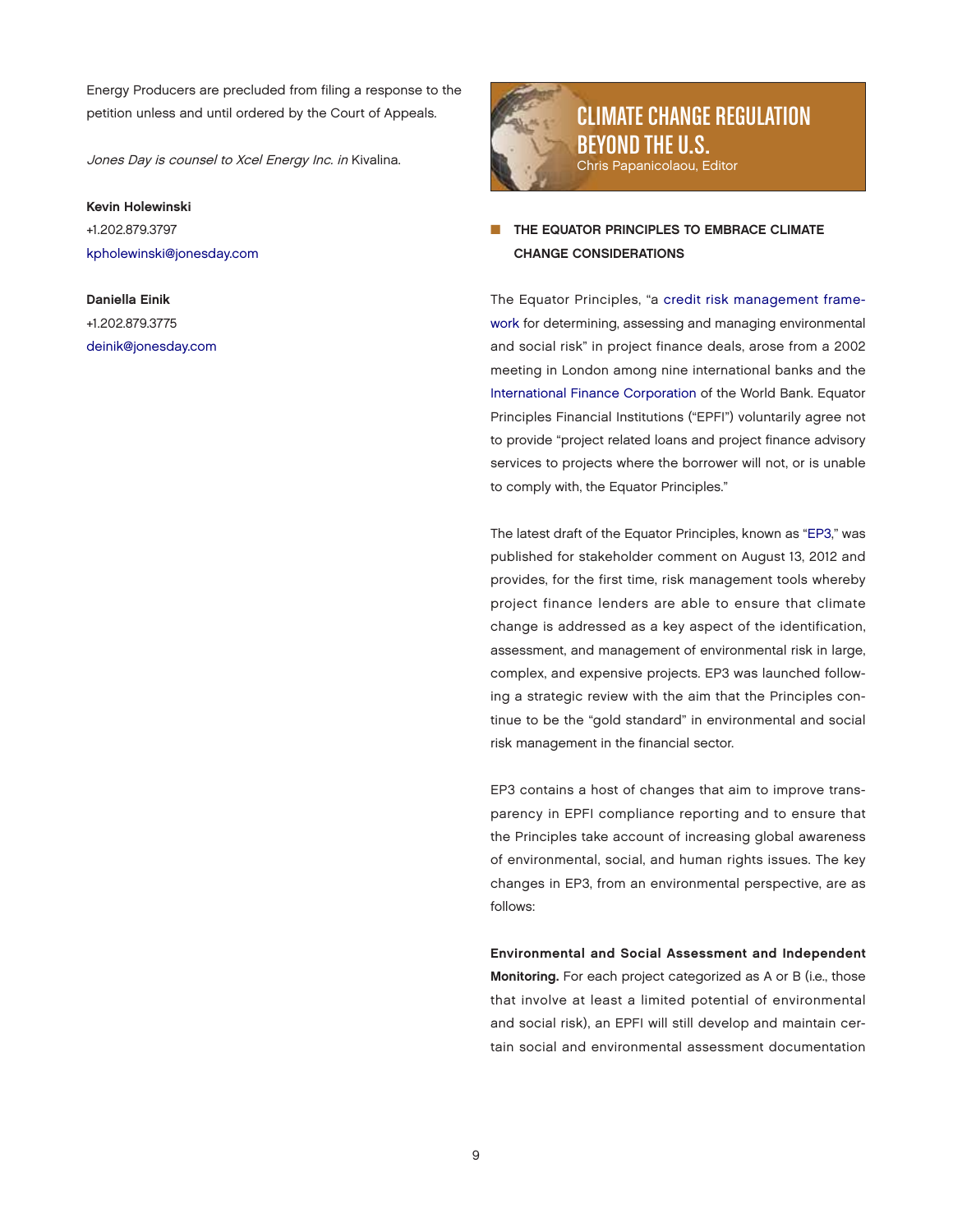Energy Producers are precluded from filing a response to the petition unless and until ordered by the Court of Appeals.

Jones Day is counsel to Xcel Energy Inc. in Kivalina.

#### Kevin Holewinski

+1.202.879.3797 [kpholewinski@jonesday.com](mailto:kpholewinski@jonesday.com)

Daniella Einik +1.202.879.3775 [deinik@jonesday.com](mailto:deinik@jonesday.com)



CLIMATE CHANGE REGULATION BEYOND THE U.S. Chris Papanicolaou, Editor

## THE EQUATOR PRINCIPLES TO EMBRACE CLIMATE CHANGE CONSIDERATIONS

The Equator Principles, "a credit risk management frame[work for determining, assessing and managing environmental](http://www.equator-principles.com/index.php/about-ep/about-ep)  and social risk" in project finance deals, arose from a 2002 meeting in London among nine international banks and the [International Finance Corporation o](http://www1.ifc.org/wps/wcm/connect/corp_ext_content/ifc_external_corporate_site/home)f the World Bank. Equator Principles Financial Institutions ("EPFI") voluntarily agree not to provide "project related loans and project finance advisory services to projects where the borrower will not, or is unable to comply with, the Equator Principles."

The latest draft of the Equator Principles, known as ["EP3,"](http://www.equator-principles.com/index.php/ep3/about-ep3) was published for stakeholder comment on August 13, 2012 and provides, for the first time, risk management tools whereby project finance lenders are able to ensure that climate change is addressed as a key aspect of the identification, assessment, and management of environmental risk in large, complex, and expensive projects. EP3 was launched following a strategic review with the aim that the Principles continue to be the "gold standard" in environmental and social risk management in the financial sector.

EP3 contains a host of changes that aim to improve transparency in EPFI compliance reporting and to ensure that the Principles take account of increasing global awareness of environmental, social, and human rights issues. The key changes in EP3, from an environmental perspective, are as follows:

Environmental and Social Assessment and Independent Monitoring. For each project categorized as A or B (i.e., those that involve at least a limited potential of environmental and social risk), an EPFI will still develop and maintain certain social and environmental assessment documentation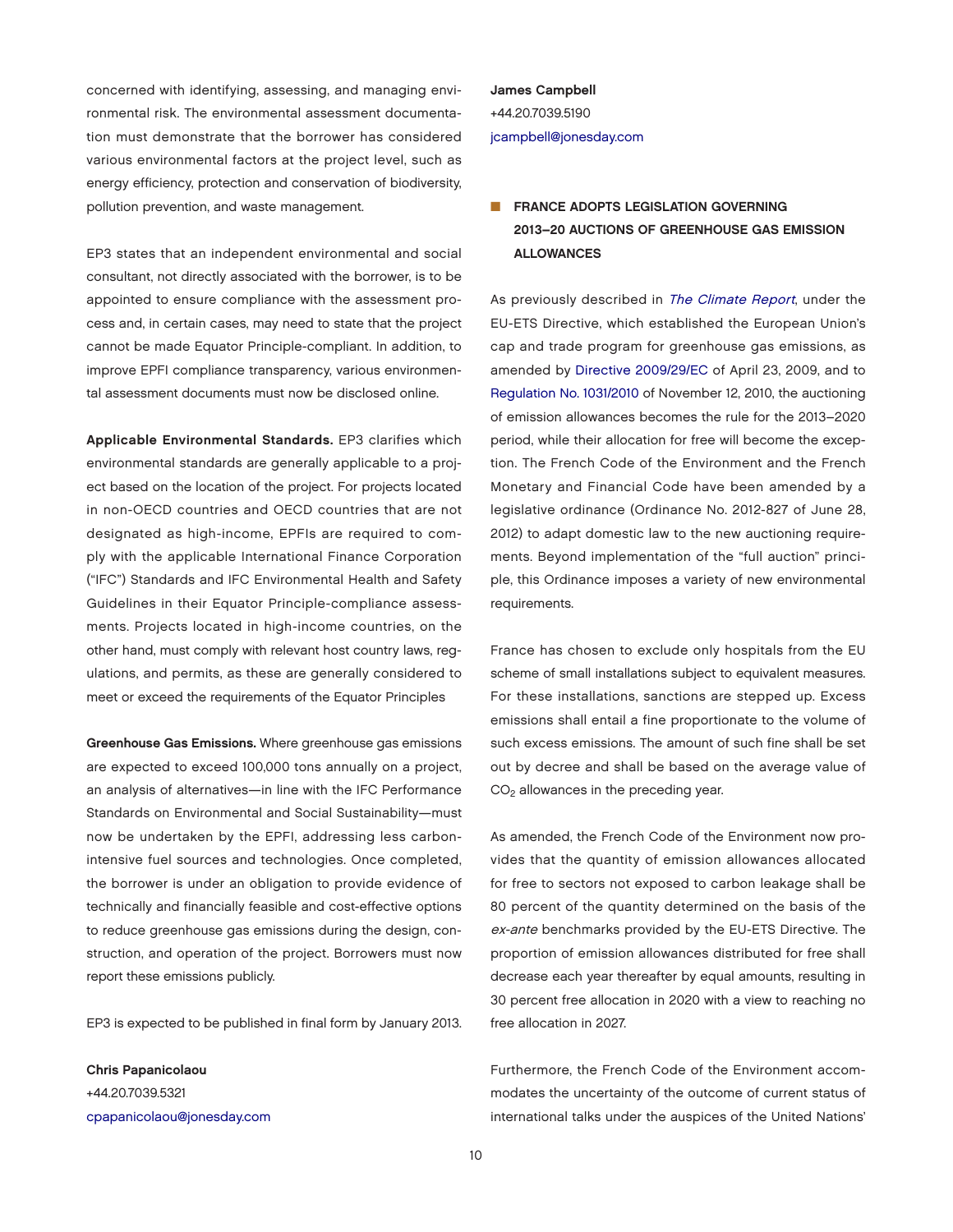concerned with identifying, assessing, and managing environmental risk. The environmental assessment documentation must demonstrate that the borrower has considered various environmental factors at the project level, such as energy efficiency, protection and conservation of biodiversity, pollution prevention, and waste management.

EP3 states that an independent environmental and social consultant, not directly associated with the borrower, is to be appointed to ensure compliance with the assessment process and, in certain cases, may need to state that the project cannot be made Equator Principle-compliant. In addition, to improve EPFI compliance transparency, various environmental assessment documents must now be disclosed online.

Applicable Environmental Standards. EP3 clarifies which environmental standards are generally applicable to a project based on the location of the project. For projects located in non-OECD countries and OECD countries that are not designated as high-income, EPFIs are required to comply with the applicable International Finance Corporation ("IFC") Standards and IFC Environmental Health and Safety Guidelines in their Equator Principle-compliance assessments. Projects located in high-income countries, on the other hand, must comply with relevant host country laws, regulations, and permits, as these are generally considered to meet or exceed the requirements of the Equator Principles

Greenhouse Gas Emissions. Where greenhouse gas emissions are expected to exceed 100,000 tons annually on a project, an analysis of alternatives—in line with the IFC Performance Standards on Environmental and Social Sustainability—must now be undertaken by the EPFI, addressing less carbonintensive fuel sources and technologies. Once completed, the borrower is under an obligation to provide evidence of technically and financially feasible and cost-effective options to reduce greenhouse gas emissions during the design, construction, and operation of the project. Borrowers must now report these emissions publicly.

EP3 is expected to be published in final form by January 2013.

Chris Papanicolaou +44.20.7039.5321 [cpapanicolaou@jonesday.com](mailto:cpapanicolaou@jonesday.com) James Campbell +44.20.7039.5190 [jcampbell@jonesday.com](mailto:jcampbell@jonesday.com)

## **FRANCE ADOPTS LEGISLATION GOVERNING** 2013–20 AUCTIONS OF GREENHOUSE GAS EMISSION ALLOWANCES

As previously described in [The Climate Report](http://thewritestuff.jonesday.com/rv/ff0005f5185598d5464ef3b6764d850b20b11de3/p=17), under the EU-ETS Directive, which established the European Union's cap and trade program for greenhouse gas emissions, as amended by [Directive 2009/29/EC o](http://eur-lex.europa.eu/LexUriServ/LexUriServ.do?uri=CONSLEG:2003L0087:20090625:FR:PDF)f April 23, 2009, and to [Regulation No. 1031/2010 o](http://eur-lex.europa.eu/LexUriServ/LexUriServ.do?uri=CONSLEG:2010R1031:20120901:FR:HTML)f November 12, 2010, the auctioning of emission allowances becomes the rule for the 2013–2020 period, while their allocation for free will become the exception. The French Code of the Environment and the French Monetary and Financial Code have been amended by a legislative ordinance (Ordinance No. 2012-827 of June 28, 2012) to adapt domestic law to the new auctioning requirements. Beyond implementation of the "full auction" principle, this Ordinance imposes a variety of new environmental requirements.

France has chosen to exclude only hospitals from the EU scheme of small installations subject to equivalent measures. For these installations, sanctions are stepped up. Excess emissions shall entail a fine proportionate to the volume of such excess emissions. The amount of such fine shall be set out by decree and shall be based on the average value of  $CO<sub>2</sub>$  allowances in the preceding year.

As amended, the French Code of the Environment now provides that the quantity of emission allowances allocated for free to sectors not exposed to carbon leakage shall be 80 percent of the quantity determined on the basis of the ex-ante benchmarks provided by the EU-ETS Directive. The proportion of emission allowances distributed for free shall decrease each year thereafter by equal amounts, resulting in 30 percent free allocation in 2020 with a view to reaching no free allocation in 2027.

Furthermore, the French Code of the Environment accommodates the uncertainty of the outcome of current status of international talks under the auspices of the United Nations'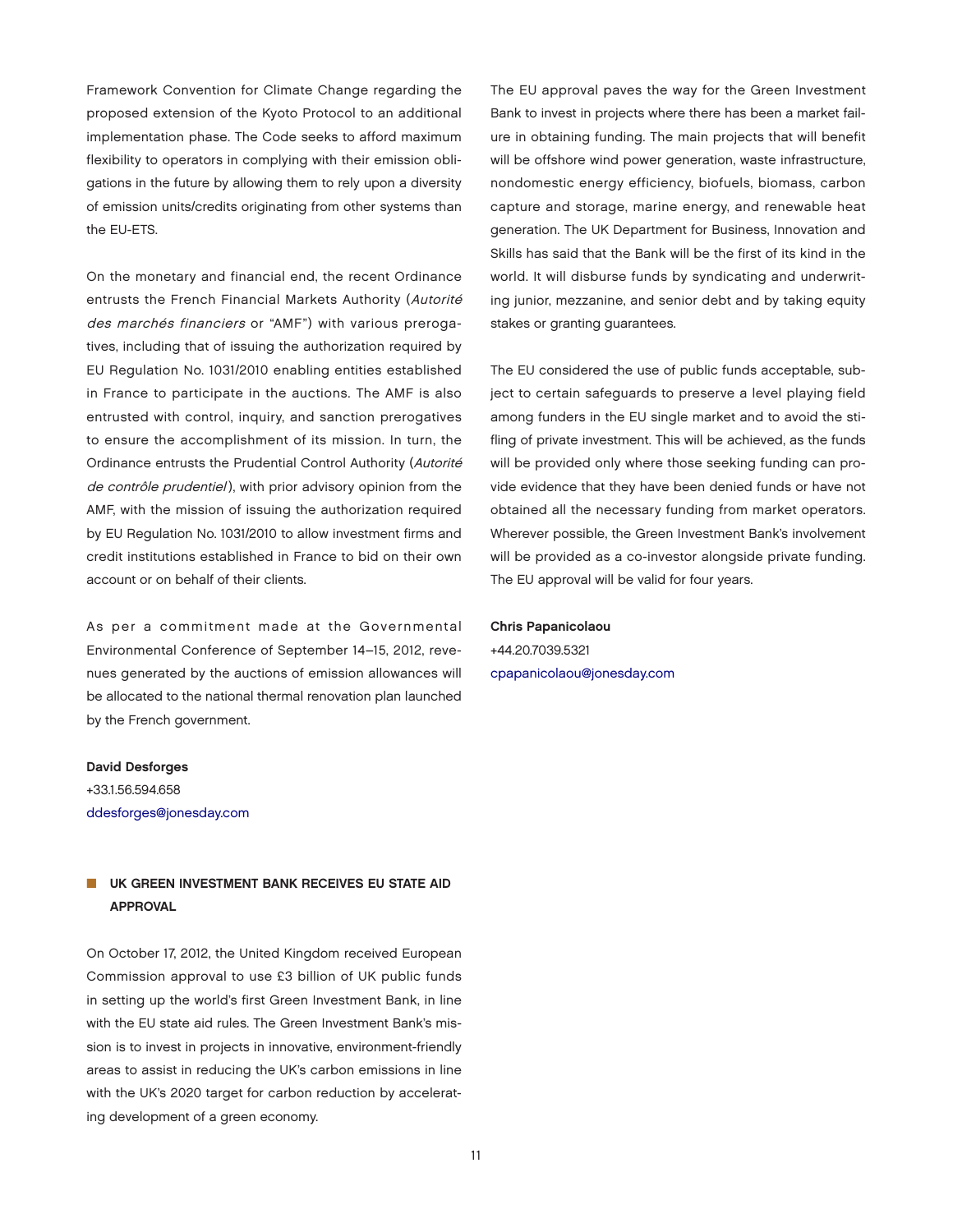Framework Convention for Climate Change regarding the proposed extension of the Kyoto Protocol to an additional implementation phase. The Code seeks to afford maximum flexibility to operators in complying with their emission obligations in the future by allowing them to rely upon a diversity of emission units/credits originating from other systems than the EU-ETS.

On the monetary and financial end, the recent Ordinance entrusts the French Financial Markets Authority (Autorité des marchés financiers or "AMF") with various prerogatives, including that of issuing the authorization required by EU Regulation No. 1031/2010 enabling entities established in France to participate in the auctions. The AMF is also entrusted with control, inquiry, and sanction prerogatives to ensure the accomplishment of its mission. In turn, the Ordinance entrusts the Prudential Control Authority (Autorité de contrôle prudentiel), with prior advisory opinion from the AMF, with the mission of issuing the authorization required by EU Regulation No. 1031/2010 to allow investment firms and credit institutions established in France to bid on their own account or on behalf of their clients.

As per a commitment made at the Governmental Environmental Conference of September 14–15, 2012, revenues generated by the auctions of emission allowances will be allocated to the national thermal renovation plan launched by the French government.

#### David Desforges

+33.1.56.594.658 [ddesforges@jonesday.com](mailto:ddesforges@jonesday.com)

### UK GREEN INVESTMENT BANK RECEIVES EU STATE AID APPROVAL

On October 17, 2012, the United Kingdom received European Commission approval to use £3 billion of UK public funds in setting up the world's first Green Investment Bank, in line with the EU state aid rules. The Green Investment Bank's mission is to invest in projects in innovative, environment-friendly areas to assist in reducing the UK's carbon emissions in line with the UK's 2020 target for carbon reduction by accelerating development of a green economy.

The EU approval paves the way for the Green Investment Bank to invest in projects where there has been a market failure in obtaining funding. The main projects that will benefit will be offshore wind power generation, waste infrastructure, nondomestic energy efficiency, biofuels, biomass, carbon capture and storage, marine energy, and renewable heat generation. The UK Department for Business, Innovation and Skills has said that the Bank will be the first of its kind in the world. It will disburse funds by syndicating and underwriting junior, mezzanine, and senior debt and by taking equity stakes or granting guarantees.

The EU considered the use of public funds acceptable, subject to certain safeguards to preserve a level playing field among funders in the EU single market and to avoid the stifling of private investment. This will be achieved, as the funds will be provided only where those seeking funding can provide evidence that they have been denied funds or have not obtained all the necessary funding from market operators. Wherever possible, the Green Investment Bank's involvement will be provided as a co-investor alongside private funding. The EU approval will be valid for four years.

### Chris Papanicolaou

+44.20.7039.5321 [cpapanicolaou@jonesday.com](mailto:cpapanicolaou@jonesday.com)